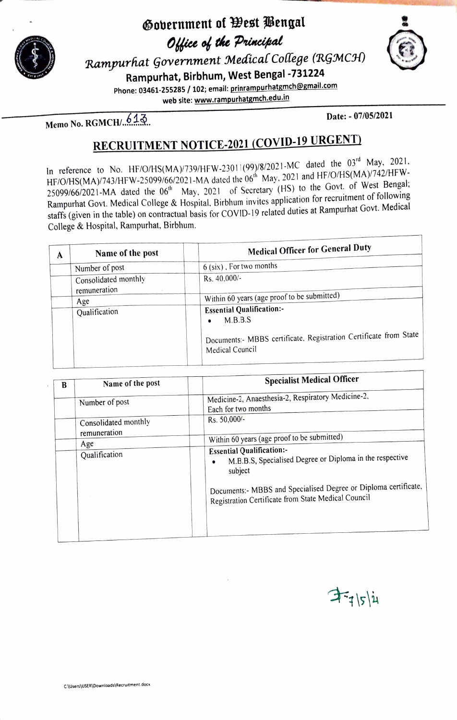

### **~o\Jernment of West 1/jengal**  *Office of the Principal*  $Rampurhat Government Medical College (RGMCH)$



**Rampurhat, Birbhum, West Bengal -731224** 

**Phone: 03461-255285** / **102; email: prinrampurhatgmch@gmail.com** 

**web site: www.rampurhatgmch.edu.in** 

**Date: - 07/05/2021 Date: - 07/05/2021** 

# **RECRUITMENT NOTICE-2021 (COVID-19 URGENT)**

In reference to No. HF/O/HS(MA)/739/HFW-23011(99)/8/2021-MC dated the 03<sup>rd</sup> May, 2021, Here to the most construct of  $\mu$  and HF/O/HS(MA)/742/HFW-<br>HF/O/HS(MA)/743/HFW-25099/66/2021-MA dated the 06<sup>th</sup> May, 2021 and HF/O/HS(MA)/742/HFW- $25099/66/2021$ -MA dated the  $06<sup>th</sup>$  May, 2021 of Secretary (HS) to the Govt. of West Bengal; Rampurhat Govt. Medical College & Hospital, Birbhum invites application for recruitment of following staffs (given in the table) on contractual basis for COVID-19 related duties at Rampurhat Govt. Medical College & Hospital, Rampurhat, Birbhum.

|   | Name of the post                       | <b>Medical Officer for General Duty</b>                                              |
|---|----------------------------------------|--------------------------------------------------------------------------------------|
| A |                                        | 6 (six), For two months                                                              |
|   | Number of post<br>Consolidated monthly | Rs. 40.000/-                                                                         |
|   | remuneration                           |                                                                                      |
|   | Age                                    | Within 60 years (age proof to be submitted)                                          |
|   | Qualification                          | <b>Essential Qualification:-</b>                                                     |
|   |                                        | M.B.B.S<br>$\bullet$                                                                 |
|   |                                        | Documents:- MBBS certificate, Registration Certificate from State<br>Medical Council |
|   |                                        |                                                                                      |

| B | Name of the post<br>Number of post<br>Consolidated monthly<br>remuneration<br>Age | <b>Specialist Medical Officer</b><br>Medicine-2, Anaesthesia-2, Respiratory Medicine-2,<br>Each for two months<br>Rs. 50,000/-<br>Within 60 years (age proof to be submitted)                                                                  |
|---|-----------------------------------------------------------------------------------|------------------------------------------------------------------------------------------------------------------------------------------------------------------------------------------------------------------------------------------------|
|   | Qualification                                                                     | <b>Essential Qualification:-</b><br>M.B.B.S, Specialised Degree or Diploma in the respective<br>$\bullet$<br>subject<br>Documents:- MBBS and Specialised Degree or Diploma certificate,<br>Registration Certificate from State Medical Council |